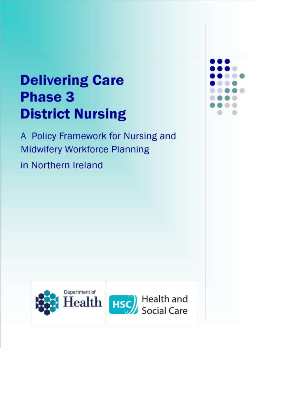# **Delivering Care Phase 3 District Nursing**

A Policy Framework for Nursing and **Midwifery Workforce Planning** in Northern Ireland



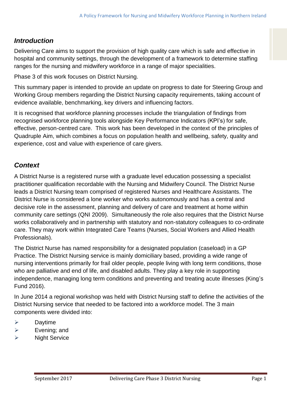## *Introduction*

Delivering Care aims to support the provision of high quality care which is safe and effective in hospital and community settings, through the development of a framework to determine staffing ranges for the nursing and midwifery workforce in a range of major specialities.

Phase 3 of this work focuses on District Nursing.

This summary paper is intended to provide an update on progress to date for Steering Group and Working Group members regarding the District Nursing capacity requirements, taking account of evidence available, benchmarking, key drivers and influencing factors.

It is recognised that workforce planning processes include the triangulation of findings from recognised workforce planning tools alongside Key Performance Indicators (KPI's) for safe, effective, person-centred care. This work has been developed in the context of the principles of Quadruple Aim, which combines a focus on population health and wellbeing, safety, quality and experience, cost and value with experience of care givers.

## *Context*

A District Nurse is a registered nurse with a graduate level education possessing a specialist practitioner qualification recordable with the Nursing and Midwifery Council. The District Nurse leads a District Nursing team comprised of registered Nurses and Healthcare Assistants. The District Nurse is considered a lone worker who works autonomously and has a central and decisive role in the assessment, planning and delivery of care and treatment at home within community care settings (QNI 2009). Simultaneously the role also requires that the District Nurse works collaboratively and in partnership with statutory and non-statutory colleagues to co-ordinate care. They may work within Integrated Care Teams (Nurses, Social Workers and Allied Health Professionals).

The District Nurse has named responsibility for a designated population (caseload) in a GP Practice. The District Nursing service is mainly domiciliary based, providing a wide range of nursing interventions primarily for frail older people, people living with long term conditions, those who are palliative and end of life, and disabled adults. They play a key role in supporting independence, managing long term conditions and preventing and treating acute illnesses (King's Fund 2016).

In June 2014 a regional workshop was held with District Nursing staff to define the activities of the District Nursing service that needed to be factored into a workforce model. The 3 main components were divided into:

- $\triangleright$  Daytime
- $\triangleright$  Evening; and
- $\triangleright$  Night Service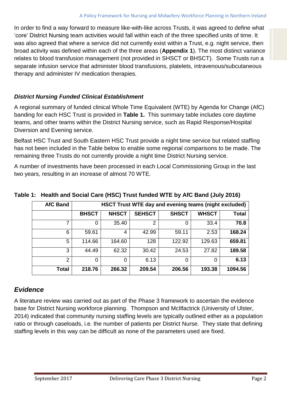In order to find a way forward to measure like-with-like across Trusts, it was agreed to define what 'core' District Nursing team activities would fall within each of the three specified units of time. It was also agreed that where a service did not currently exist within a Trust, e.g. night service, then broad activity was defined within each of the three areas (**Appendix 1**). The most distinct variance relates to blood transfusion management (not provided in SHSCT or BHSCT). Some Trusts run a separate infusion service that administer blood transfusions, platelets, intravenous/subcutaneous therapy and administer IV medication therapies.

#### *District Nursing Funded Clinical Establishment*

A regional summary of funded clinical Whole Time Equivalent (WTE) by Agenda for Change (AfC) banding for each HSC Trust is provided in **Table 1.** This summary table includes core daytime teams, and other teams within the District Nursing service, such as Rapid Response/Hospital Diversion and Evening service.

Belfast HSC Trust and South Eastern HSC Trust provide a night time service but related staffing has not been included in the Table below to enable some regional comparisons to be made. The remaining three Trusts do not currently provide a night time District Nursing service.

A number of investments have been processed in each Local Commissioning Group in the last two years, resulting in an increase of almost 70 WTE.

| <b>AfC Band</b> | <b>HSCT Trust WTE day and evening teams (night excluded)</b> |              |               |              |              |              |
|-----------------|--------------------------------------------------------------|--------------|---------------|--------------|--------------|--------------|
|                 | <b>BHSCT</b>                                                 | <b>NHSCT</b> | <b>SEHSCT</b> | <b>SHSCT</b> | <b>WHSCT</b> | <b>Total</b> |
| 7               | 0                                                            | 35.40        | 2             | 0            | 33.4         | 70.8         |
| 6               | 59.61                                                        | 4            | 42.99         | 59.11        | 2.53         | 168.24       |
| 5               | 114.66                                                       | 164.60       | 128           | 122.92       | 129.63       | 659.81       |
| 3               | 44.49                                                        | 62.32        | 30.42         | 24.53        | 27.82        | 189.58       |
| $\overline{2}$  | 0                                                            | $\Omega$     | 6.13          | 0            | 0            | 6.13         |
| <b>Total</b>    | 218.76                                                       | 266.32       | 209.54        | 206.56       | 193.38       | 1094.56      |

**Table 1: Health and Social Care (HSC) Trust funded WTE by AfC Band (July 2016)** 

## *Evidence*

A literature review was carried out as part of the Phase 3 framework to ascertain the evidence base for District Nursing workforce planning. Thompson and McIlfactrick (University of Ulster, 2014) indicated that community nursing staffing levels are typically outlined either as a population ratio or through caseloads, i.e*.* the number of patients per District Nurse. They state that defining staffing levels in this way can be difficult as none of the parameters used are fixed.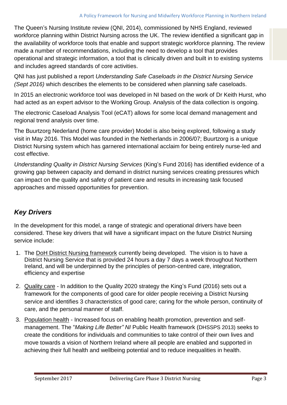The Queen's Nursing Institute review (QNI, 2014), commissioned by NHS England, reviewed workforce planning within District Nursing across the UK. The review identified a significant gap in the availability of workforce tools that enable and support strategic workforce planning. The review made a number of recommendations, including the need to develop a tool that provides operational and strategic information, a tool that is clinically driven and built in to existing systems and includes agreed standards of core activities.

QNI has just published a report *Understanding Safe Caseloads in the District Nursing Service (Sept 2016)* which describes the elements to be considered when planning safe caseloads.

In 2015 an electronic workforce tool was developed in NI based on the work of Dr Keith Hurst, who had acted as an expert advisor to the Working Group. Analysis of the data collection is ongoing.

The electronic Caseload Analysis Tool (eCAT) allows for some local demand management and regional trend analysis over time.

The Buurtzorg Nederland (home care provider) Model is also being explored, following a study visit in May 2016. This Model was founded in the Netherlands in 2006/07; Buurtzorg is a unique District Nursing system which has garnered international acclaim for being entirely nurse-led and cost effective.

*Understanding Quality in District Nursing Services* (King's Fund 2016) has identified evidence of a growing gap between capacity and demand in district nursing services creating pressures which can impact on the quality and safety of patient care and results in increasing task focused approaches and missed opportunities for prevention.

## *Key Drivers*

In the development for this model, a range of strategic and operational drivers have been considered. These key drivers that will have a significant impact on the future District Nursing service include:

- 1. The DoH District Nursing framework currently being developed. The vision is to have a District Nursing Service that is provided 24 hours a day 7 days a week throughout Northern Ireland, and will be underpinned by the principles of person-centred care, integration, efficiency and expertise
- 2. Quality care In addition to the Quality 2020 strategy the King's Fund (2016) sets out a framework for the components of good care for older people receiving a District Nursing service and identifies 3 characteristics of good care; caring for the whole person, continuity of care, and the personal manner of staff.
- 3. Population health Increased focus on enabling health promotion, prevention and selfmanagement. The "*Making Life Better" NI* Public Health framework (DHSSPS 2013) seeks to create the conditions for individuals and communities to take control of their own lives and move towards a vision of Northern Ireland where all people are enabled and supported in achieving their full health and wellbeing potential and to reduce inequalities in health.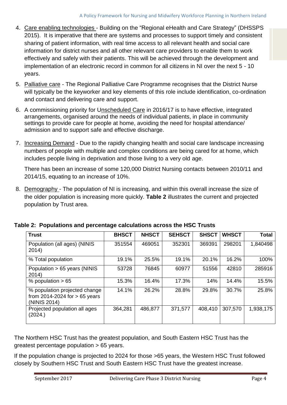- 4. Care enabling technologies Building on the "Regional eHealth and Care Strategy" (DHSSPS 2015). It is imperative that there are systems and processes to support timely and consistent sharing of patient information, with real time access to all relevant health and social care information for district nurses and all other relevant care providers to enable them to work effectively and safely with their patients. This will be achieved through the development and implementation of an electronic record in common for all citizens in NI over the next 5 - 10 years.
- 5. Palliative care The Regional Palliative Care Programme recognises that the District Nurse will typically be the keyworker and key elements of this role include identification, co-ordination and contact and delivering care and support.
- 6. A commissioning priority for Unscheduled Care in 2016/17 is to have effective, integrated arrangements, organised around the needs of individual patients, in place in community settings to provide care for people at home, avoiding the need for hospital attendance/ admission and to support safe and effective discharge.
- 7. Increasing Demand Due to the rapidly changing health and social care landscape increasing numbers of people with multiple and complex conditions are being cared for at home, which includes people living in deprivation and those living to a very old age.

There has been an increase of some 120,000 District Nursing contacts between 2010/11 and 2014/15, equating to an increase of 10%.

8. Demography - The population of NI is increasing, and within this overall increase the size of the older population is increasing more quickly. **Table 2** illustrates the current and projected population by Trust area.

| <b>Trust</b>                                                                     | <b>BHSCT</b> | <b>NHSCT</b> | <b>SEHSCT</b> | <b>SHSCT</b> | <b>WHSCT</b> | Total     |
|----------------------------------------------------------------------------------|--------------|--------------|---------------|--------------|--------------|-----------|
| Population (all ages) (NINIS<br>2014)                                            | 351554       | 469051       | 352301        | 369391       | 298201       | 1,840498  |
| % Total population                                                               | 19.1%        | 25.5%        | 19.1%         | 20.1%        | 16.2%        | 100%      |
| Population > 65 years (NINIS<br>2014)                                            | 53728        | 76845        | 60977         | 51556        | 42810        | 285916    |
| % population $> 65$                                                              | 15.3%        | 16.4%        | 17.3%         | 14%          | 14.4%        | 15.5%     |
| % population projected change<br>from 2014-2024 for $> 65$ years<br>(NINIS 2014) | 14.1%        | 26.2%        | 28.8%         | 29.8%        | 30.7%        | 25.8%     |
| Projected population all ages<br>(2024.)                                         | 364,281      | 486,877      | 371,577       | 408,410      | 307,570      | 1,938,175 |

**Table 2: Populations and percentage calculations across the HSC Trusts**

The Northern HSC Trust has the greatest population, and South Eastern HSC Trust has the greatest percentage population > 65 years.

If the population change is projected to 2024 for those >65 years, the Western HSC Trust followed closely by Southern HSC Trust and South Eastern HSC Trust have the greatest increase.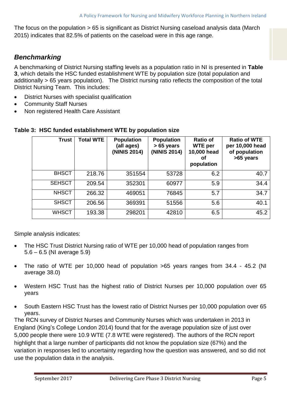The focus on the population > 65 is significant as District Nursing caseload analysis data (March 2015) indicates that 82.5% of patients on the caseload were in this age range.

### *Benchmarking*

A benchmarking of District Nursing staffing levels as a population ratio in NI is presented in **Table 3**, which details the HSC funded establishment WTE by population size (total population and additionally > 65 years population). The District nursing ratio reflects the composition of the total District Nursing Team. This includes:

- District Nurses with specialist qualification
- Community Staff Nurses
- Non registered Health Care Assistant

| <b>Trust</b>  | <b>Total WTE</b> | <b>Population</b><br>(all ages)<br>(NINIS 2014) | <b>Population</b><br>$> 65$ years<br>(NINIS 2014) | <b>Ratio of</b><br><b>WTE</b> per<br>10,000 head<br>Οf<br>population | <b>Ratio of WTE</b><br>per 10,000 head<br>of population<br>>65 years |
|---------------|------------------|-------------------------------------------------|---------------------------------------------------|----------------------------------------------------------------------|----------------------------------------------------------------------|
| <b>BHSCT</b>  | 218.76           | 351554                                          | 53728                                             | 6.2                                                                  | 40.7                                                                 |
| <b>SEHSCT</b> | 209.54           | 352301                                          | 60977                                             | 5.9                                                                  | 34.4                                                                 |
| <b>NHSCT</b>  | 266.32           | 469051                                          | 76845                                             | 5.7                                                                  | 34.7                                                                 |
| <b>SHSCT</b>  | 206.56           | 369391                                          | 51556                                             | 5.6                                                                  | 40.1                                                                 |
| <b>WHSCT</b>  | 193.38           | 298201                                          | 42810                                             | 6.5                                                                  | 45.2                                                                 |

#### **Table 3: HSC funded establishment WTE by population size**

Simple analysis indicates:

- The HSC Trust District Nursing ratio of WTE per 10,000 head of population ranges from 5.6 – 6.5 (NI average 5.9)
- The ratio of WTE per 10,000 head of population >65 years ranges from 34.4 45.2 (NI average 38.0)
- Western HSC Trust has the highest ratio of District Nurses per 10,000 population over 65 years
- South Eastern HSC Trust has the lowest ratio of District Nurses per 10,000 population over 65 years.

The RCN survey of District Nurses and Community Nurses which was undertaken in 2013 in England (King's College London 2014) found that for the average population size of just over 5,000 people there were 10.9 WTE (7.8 WTE were registered). The authors of the RCN report highlight that a large number of participants did not know the population size (67%) and the variation in responses led to uncertainty regarding how the question was answered, and so did not use the population data in the analysis.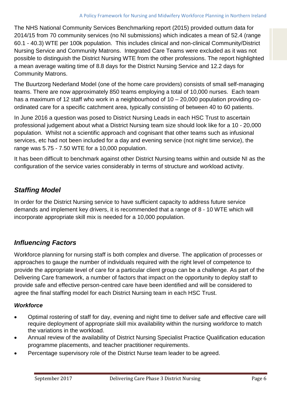The NHS National Community Services Benchmarking report (2015) provided outturn data for 2014/15 from 70 community services (no NI submissions) which indicates a mean of 52.4 (range 60.1 - 40.3) WTE per 100k population. This includes clinical and non-clinical Community/District Nursing Service and Community Matrons. Integrated Care Teams were excluded as it was not possible to distinguish the District Nursing WTE from the other professions. The report highlighted a mean average waiting time of 8.8 days for the District Nursing Service and 12.2 days for Community Matrons.

The Buurtzorg Nederland Model (one of the home care providers) consists of small self-managing teams. There are now approximately 850 teams employing a total of 10,000 nurses. Each team has a maximum of 12 staff who work in a neighbourhood of 10 – 20,000 population providing coordinated care for a specific catchment area, typically consisting of between 40 to 60 patients.

In June 2016 a question was posed to District Nursing Leads in each HSC Trust to ascertain professional judgement about what a District Nursing team size should look like for a 10 - 20,000 population. Whilst not a scientific approach and cognisant that other teams such as infusional services, etc had not been included for a day and evening service (not night time service), the range was 5.75 - 7.50 WTE for a 10,000 population.

It has been difficult to benchmark against other District Nursing teams within and outside NI as the configuration of the service varies considerably in terms of structure and workload activity.

## *Staffing Model*

In order for the District Nursing service to have sufficient capacity to address future service demands and implement key drivers, it is recommended that a range of 8 - 10 WTE which will incorporate appropriate skill mix is needed for a 10,000 population*.* 

## *Influencing Factors*

Workforce planning for nursing staff is both complex and diverse. The application of processes or approaches to gauge the number of individuals required with the right level of competence to provide the appropriate level of care for a particular client group can be a challenge. As part of the Delivering Care framework, a number of factors that impact on the opportunity to deploy staff to provide safe and effective person-centred care have been identified and will be considered to agree the final staffing model for each District Nursing team in each HSC Trust.

#### *Workforce*

- Optimal rostering of staff for day, evening and night time to deliver safe and effective care will require deployment of appropriate skill mix availability within the nursing workforce to match the variations in the workload.
- Annual review of the availability of District Nursing Specialist Practice Qualification education programme placements, and teacher practitioner requirements.
- Percentage supervisory role of the District Nurse team leader to be agreed.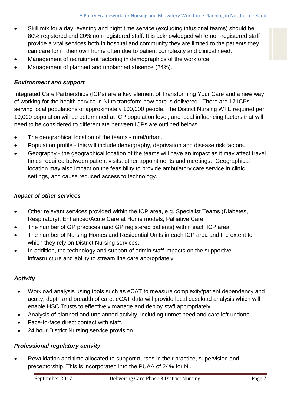- Skill mix for a day, evening and night time service (excluding infusional teams) should be 80% registered and 20% non-registered staff. It is acknowledged while non-registered staff provide a vital services both in hospital and community they are limited to the patients they can care for in their own home often due to patient complexity and clinical need.
- Management of recruitment factoring in demographics of the workforce.
- Management of planned and unplanned absence (24%).

#### *Environment and support*

Integrated Care Partnerships (ICPs) are a key element of Transforming Your Care and a new way of working for the health service in NI to transform how care is delivered. There are 17 ICPs serving local populations of approximately 100,000 people. The District Nursing WTE required per 10,000 population will be determined at ICP population level, and local influencing factors that will need to be considered to differentiate between ICPs are outlined below:

- The geographical location of the teams rural/urban.
- Population profile this will include demography, deprivation and disease risk factors.
- Geography the geographical location of the teams will have an impact as it may affect travel times required between patient visits, other appointments and meetings. Geographical location may also impact on the feasibility to provide ambulatory care service in clinic settings, and cause reduced access to technology.

#### *Impact of other services*

- Other relevant services provided within the ICP area, e.g. Specialist Teams (Diabetes, Respiratory), Enhanced/Acute Care at Home models, Palliative Care.
- The number of GP practices (and GP registered patients) within each ICP area.
- The number of Nursing Homes and Residential Units in each ICP area and the extent to which they rely on District Nursing services.
- In addition, the technology and support of admin staff impacts on the supportive infrastructure and ability to stream line care appropriately.

#### *Activity*

- Workload analysis using tools such as eCAT to measure complexity/patient dependency and acuity, depth and breadth of care. eCAT data will provide local caseload analysis which will enable HSC Trusts to effectively manage and deploy staff appropriately.
- Analysis of planned and unplanned activity, including unmet need and care left undone.
- Face-to-face direct contact with staff.
- 24 hour District Nursing service provision.

#### *Professional regulatory activity*

 Revalidation and time allocated to support nurses in their practice, supervision and preceptorship. This is incorporated into the PUAA of 24% for NI.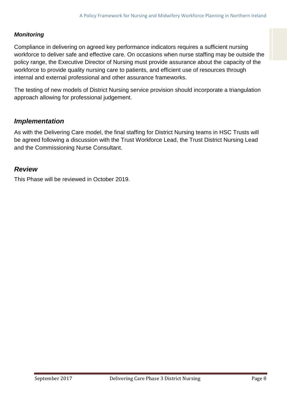#### *Monitoring*

Compliance in delivering on agreed key performance indicators requires a sufficient nursing workforce to deliver safe and effective care. On occasions when nurse staffing may be outside the policy range, the Executive Director of Nursing must provide assurance about the capacity of the workforce to provide quality nursing care to patients, and efficient use of resources through internal and external professional and other assurance frameworks.

The testing of new models of District Nursing service provision should incorporate a triangulation approach allowing for professional judgement.

#### *Implementation*

As with the Delivering Care model, the final staffing for District Nursing teams in HSC Trusts will be agreed following a discussion with the Trust Workforce Lead, the Trust District Nursing Lead and the Commissioning Nurse Consultant.

#### *Review*

This Phase will be reviewed in October 2019.